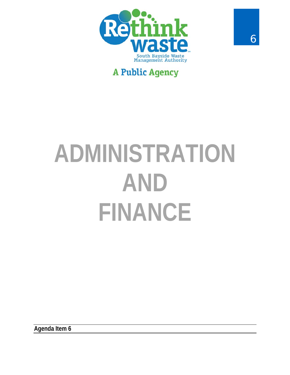

## **A Public Agency**

# **ADMINISTRATION** AND **FINANCE**

Agenda Item 6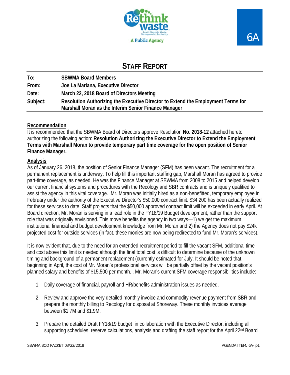

### **STAFF REPORT**

| To:      | <b>SBWMA Board Members</b>                                                                                                               |
|----------|------------------------------------------------------------------------------------------------------------------------------------------|
| From:    | Joe La Mariana, Executive Director                                                                                                       |
| Date:    | March 22, 2018 Board of Directors Meeting                                                                                                |
| Subject: | Resolution Authorizing the Executive Director to Extend the Employment Terms for<br>Marshall Moran as the Interim Senior Finance Manager |

#### **Recommendation**

It is recommended that the SBWMA Board of Directors approve Resolution **No. 2018-12** attached hereto authorizing the following action: **Resolution Authorizing the Executive Director to Extend the Employment Terms with Marshall Moran to provide temporary part time coverage for the open position of Senior Finance Manager.** 

#### **Analysis**

As of January 26, 2018, the position of Senior Finance Manager (SFM) has been vacant. The recruitment for a permanent replacement is underway. To help fill this important staffing gap, Marshall Moran has agreed to provide part-time coverage, as needed. He was the Finance Manager at SBWMA from 2008 to 2015 and helped develop our current financial systems and procedures with the Recology and SBR contracts and is uniquely qualified to assist the agency in this vital coverage. Mr. Moran was initially hired as a non-benefitted, temporary employee in February under the authority of the Executive Director's \$50,000 contract limit. \$34,200 has been actually realized for these services to date. Staff projects that the \$50,000 approved contract limit will be exceeded in early April. At Board direction, Mr. Moran is serving in a lead role in the FY18/19 Budget development, rather than the support role that was originally envisioned. This move benefits the agency in two ways—1) we get the maximum institutional financial and budget development knowledge from Mr. Moran and 2) the Agency does not pay \$24k projected cost for outside services (in fact, these monies are now being redirected to fund Mr. Moran's services).

It is now evident that, due to the need for an extended recruitment period to fill the vacant SFM, additional time and cost above this limit is needed although the final total cost is difficult to determine because of the unknown timing and background of a permanent replacement (currently estimated for July. It should be noted that, beginning in April, the cost of Mr. Moran's professional services will be partially offset by the vacant position's planned salary and benefits of \$15,500 per month. . Mr. Moran's current SFM coverage responsibilities include:

- 1. Daily coverage of financial, payroll and HR/benefits administration issues as needed.
- 2. Review and approve the very detailed monthly invoice and commodity revenue payment from SBR and prepare the monthly billing to Recology for disposal at Shoreway. These monthly invoices average between \$1.7M and \$1.9M.
- 3. Prepare the detailed Draft FY18/19 budget in collaboration with the Executive Director, including all supporting schedules, reserve calculations, analysis and drafting the staff report for the April 22<sup>nd</sup> Board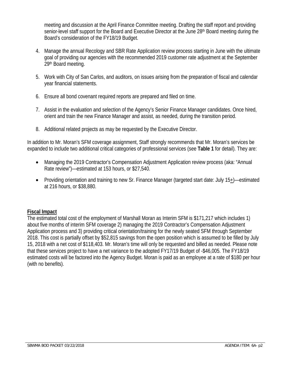meeting and discussion at the April Finance Committee meeting. Drafting the staff report and providing senior-level staff support for the Board and Executive Director at the June 28<sup>th</sup> Board meeting during the Board's consideration of the FY18/19 Budget.

- 4. Manage the annual Recology and SBR Rate Application review process starting in June with the ultimate goal of providing our agencies with the recommended 2019 customer rate adjustment at the September 29th Board meeting.
- 5. Work with City of San Carlos, and auditors, on issues arising from the preparation of fiscal and calendar year financial statements.
- 6. Ensure all bond covenant required reports are prepared and filed on time.
- 7. Assist in the evaluation and selection of the Agency's Senior Finance Manager candidates. Once hired, orient and train the new Finance Manager and assist, as needed, during the transition period.
- 8. Additional related projects as may be requested by the Executive Director.

In addition to Mr. Moran's SFM coverage assignment, Staff strongly recommends that Mr. Moran's services be expanded to include two additional critical categories of professional services (see **Table 1** for detail). They are:

- Managing the 2019 Contractor's Compensation Adjustment Application review process (aka: "Annual Rate review")—estimated at 153 hours, or \$27,540.
- Providing orientation and training to new Sr. Finance Manager (targeted start date: July 15+)—estimated at 216 hours, or \$38,880.

#### **Fiscal Impact**

The estimated total cost of the employment of Marshall Moran as Interim SFM is \$171,217 which includes 1) about five months of interim SFM coverage 2) managing the 2019 Contractor's Compensation Adjustment Application process and 3) providing critical orientation/training for the newly seated SFM through September 2018. This cost is partially offset by \$52,815 savings from the open position which is assumed to be filled by July 15, 2018 with a net cost of \$118,403. Mr. Moran's time will only be requested and billed as needed. Please note that these services project to have a net variance to the adopted FY17/19 Budget of -\$46,005. The FY18/19 estimated costs will be factored into the Agency Budget. Moran is paid as an employee at a rate of \$180 per hour (with no benefits).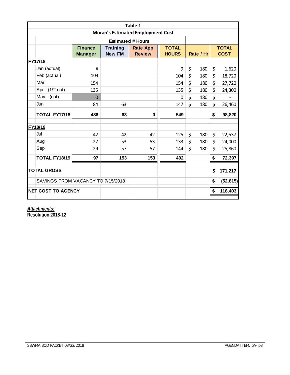| Table 1                                                              |                                   |                |                 |                                  |              |           |     |              |           |  |
|----------------------------------------------------------------------|-----------------------------------|----------------|-----------------|----------------------------------|--------------|-----------|-----|--------------|-----------|--|
| <b>Moran's Estimated Employment Cost</b><br><b>Estimated # Hours</b> |                                   |                |                 |                                  |              |           |     |              |           |  |
|                                                                      |                                   | <b>Finance</b> | <b>Training</b> | <b>TOTAL</b>                     |              |           |     | <b>TOTAL</b> |           |  |
|                                                                      |                                   | <b>Manager</b> | <b>New FM</b>   | <b>Rate App</b><br><b>Review</b> | <b>HOURS</b> | Rate / Hr |     | <b>COST</b>  |           |  |
| FY17/18                                                              |                                   |                |                 |                                  |              |           |     |              |           |  |
|                                                                      | Jan (actual)                      | 9              |                 |                                  | 9            | \$        | 180 | \$           | 1,620     |  |
|                                                                      | Feb (actual)                      | 104            |                 |                                  | 104          | \$        | 180 | \$           | 18,720    |  |
|                                                                      | Mar                               | 154            |                 |                                  | 154          | \$        | 180 | \$           | 27,720    |  |
|                                                                      | Apr - (1/2 out)                   | 135            |                 |                                  | 135          | \$        | 180 | \$           | 24,300    |  |
|                                                                      | May - (out)                       | $\overline{0}$ |                 |                                  | $\Omega$     | \$        | 180 | \$           |           |  |
|                                                                      | Jun                               | 84             | 63              |                                  | 147          | \$        | 180 | \$           | 26,460    |  |
|                                                                      | <b>TOTAL FY17/18</b>              | 486            | 63              | $\bf{0}$                         | 549          |           |     | \$           | 98,820    |  |
| FY18/19                                                              |                                   |                |                 |                                  |              |           |     |              |           |  |
|                                                                      | Jul                               | 42             | 42              | 42                               | 125          | \$        | 180 | \$           | 22,537    |  |
|                                                                      | Aug                               | 27             | 53              | 53                               | 133          | \$        | 180 | \$           | 24,000    |  |
|                                                                      | Sep                               | 29             | 57              | 57                               | 144          | \$        | 180 | \$           | 25,860    |  |
|                                                                      | <b>TOTAL FY18/19</b>              | 97             | 153             | 153                              | 402          |           |     | \$           | 72,397    |  |
| <b>TOTAL GROSS</b>                                                   |                                   |                |                 |                                  |              |           | \$  | 171,217      |           |  |
|                                                                      | SAVINGS FROM VACANCY TO 7/15/2018 |                |                 |                                  |              |           |     | \$           | (52, 815) |  |
|                                                                      | <b>NET COST TO AGENCY</b>         |                |                 |                                  |              |           | \$  | 118,403      |           |  |

*Attachments:* 

**Resolution 2018-12**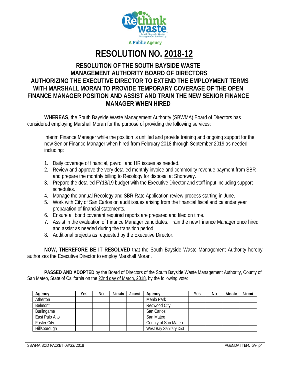

**RESOLUTION NO. 2018-12** 

#### **RESOLUTION OF THE SOUTH BAYSIDE WASTE MANAGEMENT AUTHORITY BOARD OF DIRECTORS AUTHORIZING THE EXECUTIVE DIRECTOR TO EXTEND THE EMPLOYMENT TERMS WITH MARSHALL MORAN TO PROVIDE TEMPORARY COVERAGE OF THE OPEN FINANCE MANAGER POSITION AND ASSIST AND TRAIN THE NEW SENIOR FINANCE MANAGER WHEN HIRED**

**WHEREAS**, the South Bayside Waste Management Authority (SBWMA) Board of Directors has considered employing Marshall Moran for the purpose of providing the following services:

Interim Finance Manager while the position is unfilled and provide training and ongoing support for the new Senior Finance Manager when hired from February 2018 through September 2019 as needed, including:

- 1. Daily coverage of financial, payroll and HR issues as needed.
- 2. Review and approve the very detailed monthly invoice and commodity revenue payment from SBR and prepare the monthly billing to Recology for disposal at Shoreway.
- 3. Prepare the detailed FY18/19 budget with the Executive Director and staff input including support schedules.
- 4. Manage the annual Recology and SBR Rate Application review process starting in June.
- 5. Work with City of San Carlos on audit issues arising from the financial fiscal and calendar year preparation of financial statements.
- 6. Ensure all bond covenant required reports are prepared and filed on time.
- 7. Assist in the evaluation of Finance Manager candidates. Train the new Finance Manager once hired and assist as needed during the transition period.
- 8. Additional projects as requested by the Executive Director.

**NOW, THEREFORE BE IT RESOLVED** that the South Bayside Waste Management Authority hereby authorizes the Executive Director to employ Marshall Moran.

 **PASSED AND ADOPTED** by the Board of Directors of the South Bayside Waste Management Authority, County of San Mateo, State of California on the 22nd day of March, 2018, by the following vote:

| Agency             | Yes | No | Abstain | Absent | Agency                 | Yes | No | Abstain | Absent |
|--------------------|-----|----|---------|--------|------------------------|-----|----|---------|--------|
| Atherton           |     |    |         |        | Menlo Park             |     |    |         |        |
| Belmont            |     |    |         |        | Redwood City           |     |    |         |        |
| Burlingame         |     |    |         |        | San Carlos             |     |    |         |        |
| East Palo Alto     |     |    |         |        | San Mateo              |     |    |         |        |
| <b>Foster City</b> |     |    |         |        | County of San Mateo    |     |    |         |        |
| Hillsborough       |     |    |         |        | West Bay Sanitary Dist |     |    |         |        |